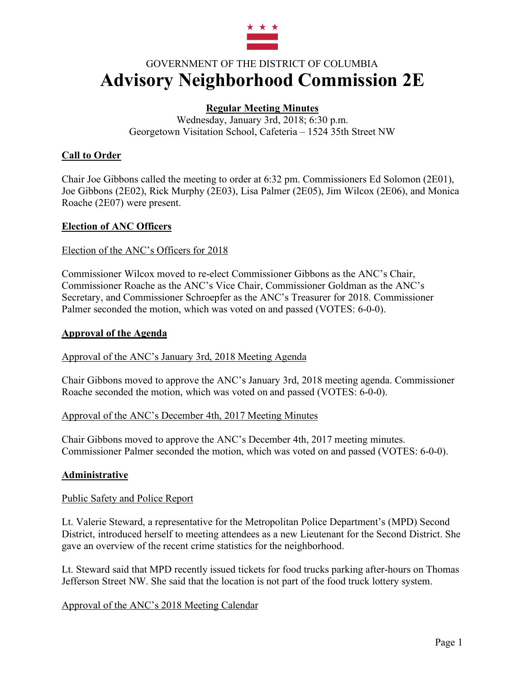

# GOVERNMENT OF THE DISTRICT OF COLUMBIA **Advisory Neighborhood Commission 2E**

## **Regular Meeting Minutes**

Wednesday, January 3rd, 2018; 6:30 p.m. Georgetown Visitation School, Cafeteria – 1524 35th Street NW

## **Call to Order**

Chair Joe Gibbons called the meeting to order at 6:32 pm. Commissioners Ed Solomon (2E01), Joe Gibbons (2E02), Rick Murphy (2E03), Lisa Palmer (2E05), Jim Wilcox (2E06), and Monica Roache (2E07) were present.

#### **Election of ANC Officers**

#### Election of the ANC's Officers for 2018

Commissioner Wilcox moved to re-elect Commissioner Gibbons as the ANC's Chair, Commissioner Roache as the ANC's Vice Chair, Commissioner Goldman as the ANC's Secretary, and Commissioner Schroepfer as the ANC's Treasurer for 2018. Commissioner Palmer seconded the motion, which was voted on and passed (VOTES: 6-0-0).

#### **Approval of the Agenda**

Approval of the ANC's January 3rd, 2018 Meeting Agenda

Chair Gibbons moved to approve the ANC's January 3rd, 2018 meeting agenda. Commissioner Roache seconded the motion, which was voted on and passed (VOTES: 6-0-0).

#### Approval of the ANC's December 4th, 2017 Meeting Minutes

Chair Gibbons moved to approve the ANC's December 4th, 2017 meeting minutes. Commissioner Palmer seconded the motion, which was voted on and passed (VOTES: 6-0-0).

#### **Administrative**

#### Public Safety and Police Report

Lt. Valerie Steward, a representative for the Metropolitan Police Department's (MPD) Second District, introduced herself to meeting attendees as a new Lieutenant for the Second District. She gave an overview of the recent crime statistics for the neighborhood.

Lt. Steward said that MPD recently issued tickets for food trucks parking after-hours on Thomas Jefferson Street NW. She said that the location is not part of the food truck lottery system.

#### Approval of the ANC's 2018 Meeting Calendar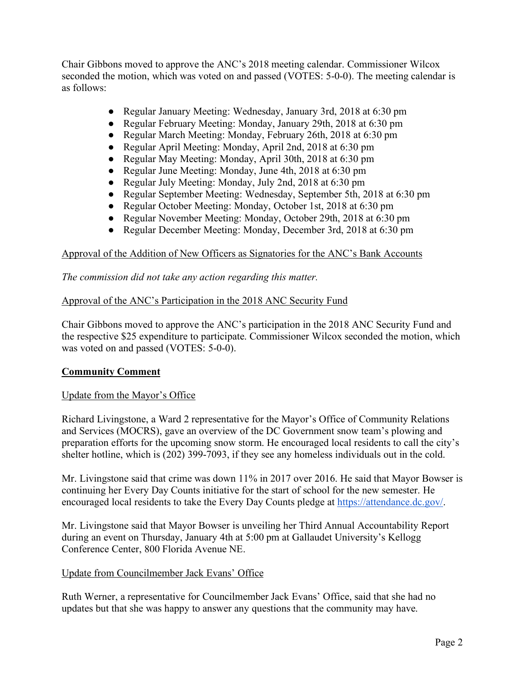Chair Gibbons moved to approve the ANC's 2018 meeting calendar. Commissioner Wilcox seconded the motion, which was voted on and passed (VOTES: 5-0-0). The meeting calendar is as follows:

- Regular January Meeting: Wednesday, January 3rd, 2018 at 6:30 pm
- Regular February Meeting: Monday, January 29th, 2018 at 6:30 pm
- Regular March Meeting: Monday, February 26th, 2018 at 6:30 pm
- Regular April Meeting: Monday, April 2nd, 2018 at 6:30 pm
- Regular May Meeting: Monday, April 30th, 2018 at 6:30 pm
- Regular June Meeting: Monday, June 4th, 2018 at 6:30 pm
- Regular July Meeting: Monday, July 2nd, 2018 at 6:30 pm
- Regular September Meeting: Wednesday, September 5th, 2018 at 6:30 pm
- Regular October Meeting: Monday, October 1st, 2018 at 6:30 pm
- Regular November Meeting: Monday, October 29th, 2018 at 6:30 pm
- Regular December Meeting: Monday, December 3rd, 2018 at 6:30 pm

## Approval of the Addition of New Officers as Signatories for the ANC's Bank Accounts

*The commission did not take any action regarding this matter.*

## Approval of the ANC's Participation in the 2018 ANC Security Fund

Chair Gibbons moved to approve the ANC's participation in the 2018 ANC Security Fund and the respective \$25 expenditure to participate. Commissioner Wilcox seconded the motion, which was voted on and passed (VOTES: 5-0-0).

## **Community Comment**

#### Update from the Mayor's Office

Richard Livingstone, a Ward 2 representative for the Mayor's Office of Community Relations and Services (MOCRS), gave an overview of the DC Government snow team's plowing and preparation efforts for the upcoming snow storm. He encouraged local residents to call the city's shelter hotline, which is (202) 399-7093, if they see any homeless individuals out in the cold.

Mr. Livingstone said that crime was down 11% in 2017 over 2016. He said that Mayor Bowser is continuing her Every Day Counts initiative for the start of school for the new semester. He encouraged local residents to take the Every Day Counts pledge at https://attendance.dc.gov/.

Mr. Livingstone said that Mayor Bowser is unveiling her Third Annual Accountability Report during an event on Thursday, January 4th at 5:00 pm at Gallaudet University's Kellogg Conference Center, 800 Florida Avenue NE.

## Update from Councilmember Jack Evans' Office

Ruth Werner, a representative for Councilmember Jack Evans' Office, said that she had no updates but that she was happy to answer any questions that the community may have.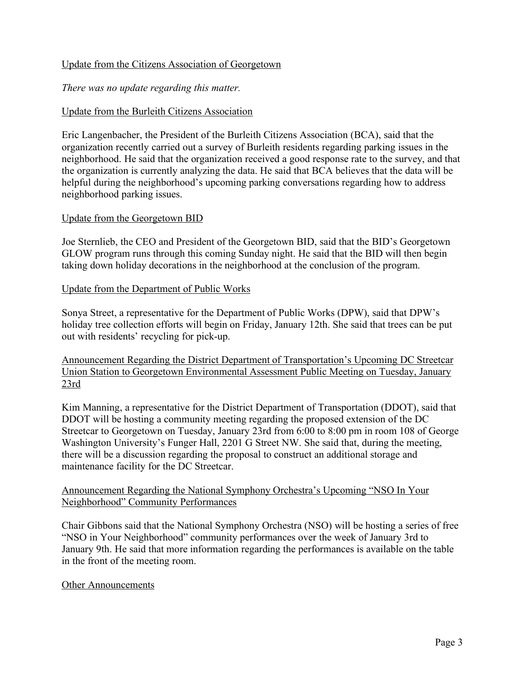#### Update from the Citizens Association of Georgetown

### *There was no update regarding this matter.*

## Update from the Burleith Citizens Association

Eric Langenbacher, the President of the Burleith Citizens Association (BCA), said that the organization recently carried out a survey of Burleith residents regarding parking issues in the neighborhood. He said that the organization received a good response rate to the survey, and that the organization is currently analyzing the data. He said that BCA believes that the data will be helpful during the neighborhood's upcoming parking conversations regarding how to address neighborhood parking issues.

#### Update from the Georgetown BID

Joe Sternlieb, the CEO and President of the Georgetown BID, said that the BID's Georgetown GLOW program runs through this coming Sunday night. He said that the BID will then begin taking down holiday decorations in the neighborhood at the conclusion of the program.

#### Update from the Department of Public Works

Sonya Street, a representative for the Department of Public Works (DPW), said that DPW's holiday tree collection efforts will begin on Friday, January 12th. She said that trees can be put out with residents' recycling for pick-up.

Announcement Regarding the District Department of Transportation's Upcoming DC Streetcar Union Station to Georgetown Environmental Assessment Public Meeting on Tuesday, January 23rd

Kim Manning, a representative for the District Department of Transportation (DDOT), said that DDOT will be hosting a community meeting regarding the proposed extension of the DC Streetcar to Georgetown on Tuesday, January 23rd from 6:00 to 8:00 pm in room 108 of George Washington University's Funger Hall, 2201 G Street NW. She said that, during the meeting, there will be a discussion regarding the proposal to construct an additional storage and maintenance facility for the DC Streetcar.

## Announcement Regarding the National Symphony Orchestra's Upcoming "NSO In Your Neighborhood" Community Performances

Chair Gibbons said that the National Symphony Orchestra (NSO) will be hosting a series of free "NSO in Your Neighborhood" community performances over the week of January 3rd to January 9th. He said that more information regarding the performances is available on the table in the front of the meeting room.

#### Other Announcements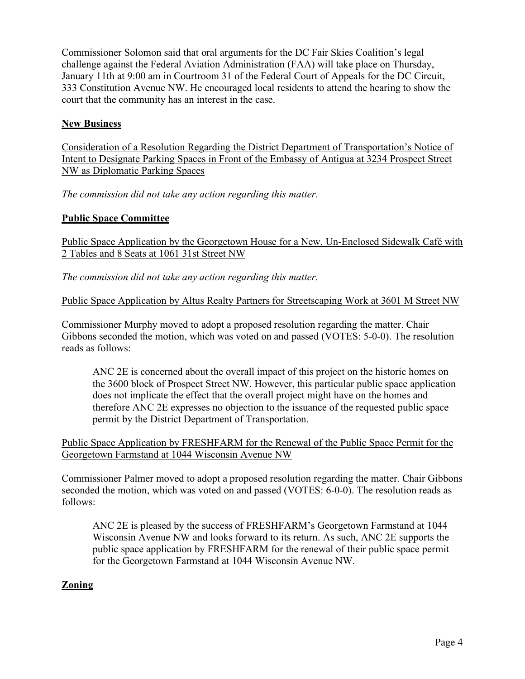Commissioner Solomon said that oral arguments for the DC Fair Skies Coalition's legal challenge against the Federal Aviation Administration (FAA) will take place on Thursday, January 11th at 9:00 am in Courtroom 31 of the Federal Court of Appeals for the DC Circuit, 333 Constitution Avenue NW. He encouraged local residents to attend the hearing to show the court that the community has an interest in the case.

## **New Business**

Consideration of a Resolution Regarding the District Department of Transportation's Notice of Intent to Designate Parking Spaces in Front of the Embassy of Antigua at 3234 Prospect Street NW as Diplomatic Parking Spaces

*The commission did not take any action regarding this matter.*

## **Public Space Committee**

Public Space Application by the Georgetown House for a New, Un-Enclosed Sidewalk Café with 2 Tables and 8 Seats at 1061 31st Street NW

*The commission did not take any action regarding this matter.*

Public Space Application by Altus Realty Partners for Streetscaping Work at 3601 M Street NW

Commissioner Murphy moved to adopt a proposed resolution regarding the matter. Chair Gibbons seconded the motion, which was voted on and passed (VOTES: 5-0-0). The resolution reads as follows:

ANC 2E is concerned about the overall impact of this project on the historic homes on the 3600 block of Prospect Street NW. However, this particular public space application does not implicate the effect that the overall project might have on the homes and therefore ANC 2E expresses no objection to the issuance of the requested public space permit by the District Department of Transportation.

Public Space Application by FRESHFARM for the Renewal of the Public Space Permit for the Georgetown Farmstand at 1044 Wisconsin Avenue NW

Commissioner Palmer moved to adopt a proposed resolution regarding the matter. Chair Gibbons seconded the motion, which was voted on and passed (VOTES: 6-0-0). The resolution reads as follows:

ANC 2E is pleased by the success of FRESHFARM's Georgetown Farmstand at 1044 Wisconsin Avenue NW and looks forward to its return. As such, ANC 2E supports the public space application by FRESHFARM for the renewal of their public space permit for the Georgetown Farmstand at 1044 Wisconsin Avenue NW.

## **Zoning**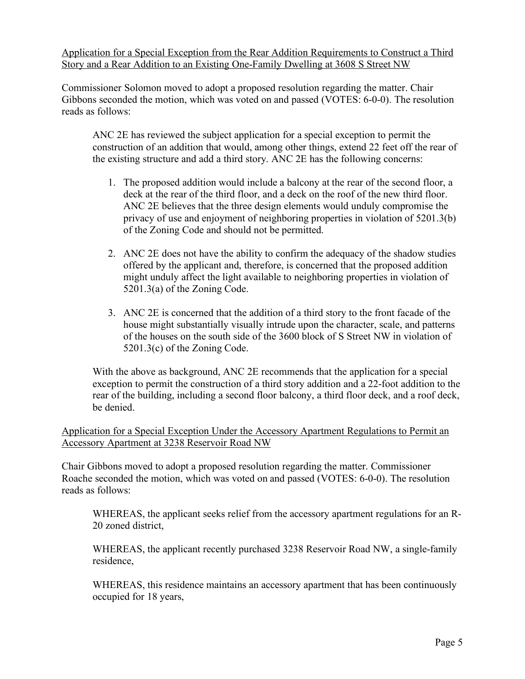Application for a Special Exception from the Rear Addition Requirements to Construct a Third Story and a Rear Addition to an Existing One-Family Dwelling at 3608 S Street NW

Commissioner Solomon moved to adopt a proposed resolution regarding the matter. Chair Gibbons seconded the motion, which was voted on and passed (VOTES: 6-0-0). The resolution reads as follows:

ANC 2E has reviewed the subject application for a special exception to permit the construction of an addition that would, among other things, extend 22 feet off the rear of the existing structure and add a third story. ANC 2E has the following concerns:

- 1. The proposed addition would include a balcony at the rear of the second floor, a deck at the rear of the third floor, and a deck on the roof of the new third floor. ANC 2E believes that the three design elements would unduly compromise the privacy of use and enjoyment of neighboring properties in violation of 5201.3(b) of the Zoning Code and should not be permitted.
- 2. ANC 2E does not have the ability to confirm the adequacy of the shadow studies offered by the applicant and, therefore, is concerned that the proposed addition might unduly affect the light available to neighboring properties in violation of 5201.3(a) of the Zoning Code.
- 3. ANC 2E is concerned that the addition of a third story to the front facade of the house might substantially visually intrude upon the character, scale, and patterns of the houses on the south side of the 3600 block of S Street NW in violation of 5201.3(c) of the Zoning Code.

With the above as background, ANC 2E recommends that the application for a special exception to permit the construction of a third story addition and a 22-foot addition to the rear of the building, including a second floor balcony, a third floor deck, and a roof deck, be denied.

Application for a Special Exception Under the Accessory Apartment Regulations to Permit an Accessory Apartment at 3238 Reservoir Road NW

Chair Gibbons moved to adopt a proposed resolution regarding the matter. Commissioner Roache seconded the motion, which was voted on and passed (VOTES: 6-0-0). The resolution reads as follows:

WHEREAS, the applicant seeks relief from the accessory apartment regulations for an R-20 zoned district,

WHEREAS, the applicant recently purchased 3238 Reservoir Road NW, a single-family residence,

WHEREAS, this residence maintains an accessory apartment that has been continuously occupied for 18 years,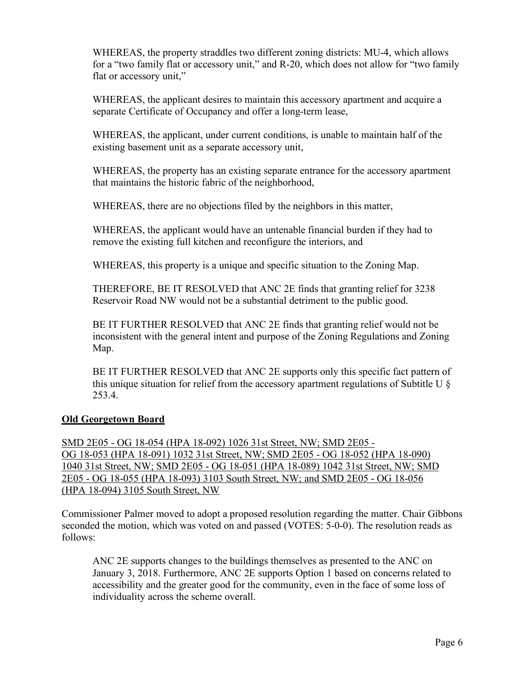WHEREAS, the property straddles two different zoning districts: MU-4, which allows for a "two family flat or accessory unit," and R-20, which does not allow for "two family flat or accessory unit,"

WHEREAS, the applicant desires to maintain this accessory apartment and acquire a separate Certificate of Occupancy and offer a long-term lease,

WHEREAS, the applicant, under current conditions, is unable to maintain half of the existing basement unit as a separate accessory unit,

WHEREAS, the property has an existing separate entrance for the accessory apartment that maintains the historic fabric of the neighborhood,

WHEREAS, there are no objections filed by the neighbors in this matter,

WHEREAS, the applicant would have an untenable financial burden if they had to remove the existing full kitchen and reconfigure the interiors, and

WHEREAS, this property is a unique and specific situation to the Zoning Map.

THEREFORE, BE IT RESOLVED that ANC 2E finds that granting relief for 3238 Reservoir Road NW would not be a substantial detriment to the public good.

BE IT FURTHER RESOLVED that ANC 2E finds that granting relief would not be inconsistent with the general intent and purpose of the Zoning Regulations and Zoning Map.

BE IT FURTHER RESOLVED that ANC 2E supports only this specific fact pattern of this unique situation for relief from the accessory apartment regulations of Subtitle U § 253.4.

## **Old Georgetown Board**

SMD 2E05 - OG 18-054 (HPA 18-092) 1026 31st Street, NW; SMD 2E05 - OG 18-053 (HPA 18-091) 1032 31st Street, NW; SMD 2E05 - OG 18-052 (HPA 18-090) 1040 31st Street, NW; SMD 2E05 - OG 18-051 (HPA 18-089) 1042 31st Street, NW; SMD 2E05 - OG 18-055 (HPA 18-093) 3103 South Street, NW; and SMD 2E05 - OG 18-056 (HPA 18-094) 3105 South Street, NW

Commissioner Palmer moved to adopt a proposed resolution regarding the matter. Chair Gibbons seconded the motion, which was voted on and passed (VOTES: 5-0-0). The resolution reads as follows:

ANC 2E supports changes to the buildings themselves as presented to the ANC on January 3, 2018. Furthermore, ANC 2E supports Option 1 based on concerns related to accessibility and the greater good for the community, even in the face of some loss of individuality across the scheme overall.